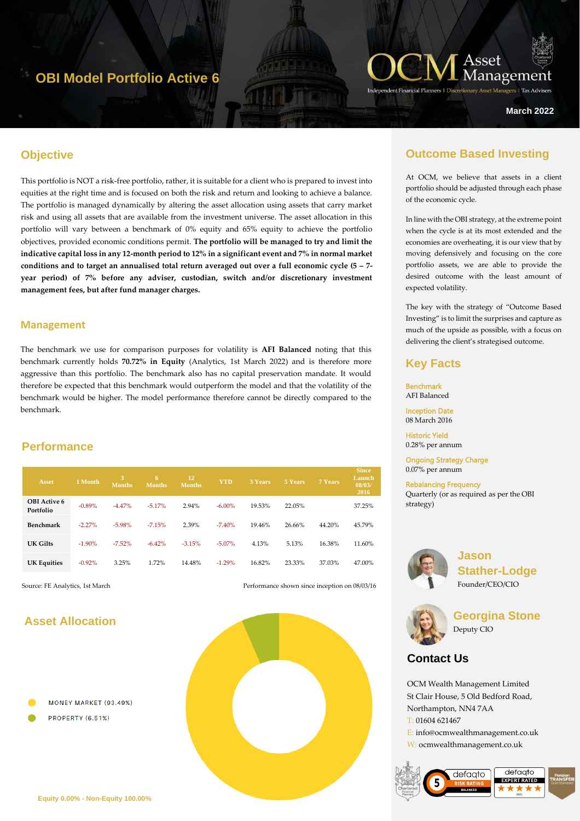## **OBI Model Portfolio Active 6**



**March 2022**

### **Objective**

hgyt67 This portfolio is NOT a risk-free portfolio, rather, it is suitable for a client who is prepared to invest into equities at the right time and is focused on both the risk and return and looking to achieve a balance. The portfolio is managed dynamically by altering the asset allocation using assets that carry market risk and using all assets that are available from the investment universe. The asset allocation in this portfolio will vary between a benchmark of 0% equity and 65% equity to achieve the portfolio objectives, provided economic conditions permit. **The portfolio will be managed to try and limit the indicative capital loss in any 12-month period to 12% in a significant event and 7% in normal market conditions and to target an annualised total return averaged out over a full economic cycle (5 – 7 year period) of 7% before any adviser, custodian, switch and/or discretionary investment management fees, but after fund manager charges.**

#### **Management**

The benchmark we use for comparison purposes for volatility is **AFI Balanced** noting that this benchmark currently holds **70.72% in Equity** (Analytics, 1st March 2022) and is therefore more aggressive than this portfolio. The benchmark also has no capital preservation mandate. It would therefore be expected that this benchmark would outperform the model and that the volatility of the benchmark would be higher. The model performance therefore cannot be directly compared to the benchmark.

#### **Performance**

| <b>Asset</b>                     | 1 Month  | 3<br><b>Months</b> | 67<br><b>Months</b> | 12<br><b>Months</b> | <b>YTD</b> | 3 Years | 5 Years | 7 Years | <b>Since</b><br>Launch<br>08/03/<br>2016 |
|----------------------------------|----------|--------------------|---------------------|---------------------|------------|---------|---------|---------|------------------------------------------|
| <b>OBI</b> Active 6<br>Portfolio | $-0.89%$ | $-4.47%$           | $-5.17%$            | 2.94%               | $-6.00\%$  | 19.53%  | 22.05%  |         | 37.25%                                   |
| Benchmark                        | $-2.27%$ | $-5.98%$           | $-7.15%$            | 2.39%               | $-7.40%$   | 19.46%  | 26.66%  | 44.20%  | 45.79%                                   |
| UK Gilts                         | $-1.90%$ | $-7.52\%$          | $-6.42%$            | $-3.15%$            | $-5.07\%$  | 4.13%   | 5.13%   | 16.38%  | 11.60%                                   |
| <b>UK Equities</b>               | $-0.92%$ | 3.25%              | 1.72%               | 14.48%              | $-1.29%$   | 16.82%  | 23.33%  | 37.03%  | 47.00%                                   |

Source: FE Analytics, 1st March Performance shown since inception on 08/03/16

### **Asset Allocation**





### **Outcome Based Investing**

At OCM, we believe that assets in a client portfolio should be adjusted through each phase of the economic cycle.

In line with the OBI strategy, at the extreme point when the cycle is at its most extended and the economies are overheating, it is our view that by moving defensively and focusing on the core portfolio assets, we are able to provide the desired outcome with the least amount of expected volatility.

The key with the strategy of "Outcome Based Investing" is to limit the surprises and capture as much of the upside as possible, with a focus on delivering the client's strategised outcome.

### **Key Facts**

Benchmark AFI Balanced Inception Date

08 March 2016

Historic Yield 0.28% per annum

Ongoing Strategy Charge 0.07% per annum

Rebalancing Frequency Quarterly (or as required as per the OBI strategy)



**Jason Stather-Lodge** Founder/CEO/CIO



**Georgina Stone** Deputy CIO

### **Contact Us**

OCM Wealth Management Limited St Clair House, 5 Old Bedford Road, Northampton, NN4 7AA T: 01604 621467 E: info@ocmwealthmanagement.co.uk W: ocmwealthmanagement.co.uk